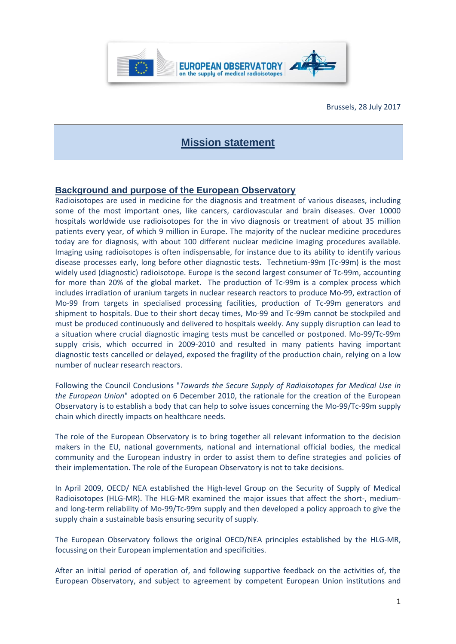

Brussels, 28 July 2017

# **Mission statement**

#### **Background and purpose of the European Observatory**

Radioisotopes are used in medicine for the diagnosis and treatment of various diseases, including some of the most important ones, like cancers, cardiovascular and brain diseases. Over 10000 hospitals worldwide use radioisotopes for the in vivo diagnosis or treatment of about 35 million patients every year, of which 9 million in Europe. The majority of the nuclear medicine procedures today are for diagnosis, with about 100 different nuclear medicine imaging procedures available. Imaging using radioisotopes is often indispensable, for instance due to its ability to identify various disease processes early, long before other diagnostic tests. Technetium-99m (Tc-99m) is the most widely used (diagnostic) radioisotope. Europe is the second largest consumer of Tc-99m, accounting for more than 20% of the global market. The production of Tc-99m is a complex process which includes irradiation of uranium targets in nuclear research reactors to produce Mo-99, extraction of Mo-99 from targets in specialised processing facilities, production of Tc-99m generators and shipment to hospitals. Due to their short decay times, Mo-99 and Tc-99m cannot be stockpiled and must be produced continuously and delivered to hospitals weekly. Any supply disruption can lead to a situation where crucial diagnostic imaging tests must be cancelled or postponed. Mo-99/Tc-99m supply crisis, which occurred in 2009-2010 and resulted in many patients having important diagnostic tests cancelled or delayed, exposed the fragility of the production chain, relying on a low number of nuclear research reactors.

Following the Council Conclusions "*Towards the Secure Supply of Radioisotopes for Medical Use in the European Union*" adopted on 6 December 2010, the rationale for the creation of the European Observatory is to establish a body that can help to solve issues concerning the Mo-99/Tc-99m supply chain which directly impacts on healthcare needs.

The role of the European Observatory is to bring together all relevant information to the decision makers in the EU, national governments, national and international official bodies, the medical community and the European industry in order to assist them to define strategies and policies of their implementation. The role of the European Observatory is not to take decisions.

In April 2009, OECD/ NEA established the High-level Group on the Security of Supply of Medical Radioisotopes (HLG-MR). The HLG-MR examined the major issues that affect the short-, mediumand long-term reliability of Mo-99/Tc-99m supply and then developed a policy approach to give the supply chain a sustainable basis ensuring security of supply.

The European Observatory follows the original OECD/NEA principles established by the HLG-MR, focussing on their European implementation and specificities.

After an initial period of operation of, and following supportive feedback on the activities of, the European Observatory, and subject to agreement by competent European Union institutions and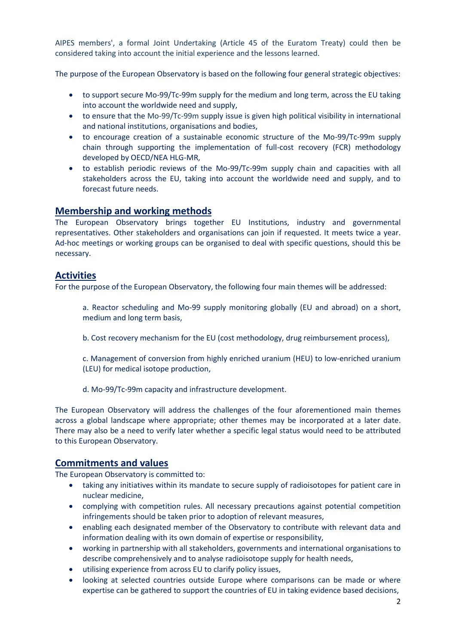AIPES members', a formal Joint Undertaking (Article 45 of the Euratom Treaty) could then be considered taking into account the initial experience and the lessons learned.

The purpose of the European Observatory is based on the following four general strategic objectives:

- to support secure Mo-99/Tc-99m supply for the medium and long term, across the EU taking into account the worldwide need and supply,
- to ensure that the Mo-99/Tc-99m supply issue is given high political visibility in international and national institutions, organisations and bodies,
- to encourage creation of a sustainable economic structure of the Mo-99/Tc-99m supply chain through supporting the implementation of full-cost recovery (FCR) methodology developed by OECD/NEA HLG-MR,
- to establish periodic reviews of the Mo-99/Tc-99m supply chain and capacities with all stakeholders across the EU, taking into account the worldwide need and supply, and to forecast future needs.

# **Membership and working methods**

The European Observatory brings together EU Institutions, industry and governmental representatives. Other stakeholders and organisations can join if requested. It meets twice a year. Ad-hoc meetings or working groups can be organised to deal with specific questions, should this be necessary.

## **Activities**

For the purpose of the European Observatory, the following four main themes will be addressed:

- a. Reactor scheduling and Mo-99 supply monitoring globally (EU and abroad) on a short, medium and long term basis,
- b. Cost recovery mechanism for the EU (cost methodology, drug reimbursement process),
- c. Management of conversion from highly enriched uranium (HEU) to low-enriched uranium (LEU) for medical isotope production,
- d. Mo-99/Tc-99m capacity and infrastructure development.

The European Observatory will address the challenges of the four aforementioned main themes across a global landscape where appropriate; other themes may be incorporated at a later date. There may also be a need to verify later whether a specific legal status would need to be attributed to this European Observatory.

## **Commitments and values**

The European Observatory is committed to:

- taking any initiatives within its mandate to secure supply of radioisotopes for patient care in nuclear medicine,
- complying with competition rules. All necessary precautions against potential competition infringements should be taken prior to adoption of relevant measures,
- enabling each designated member of the Observatory to contribute with relevant data and information dealing with its own domain of expertise or responsibility,
- working in partnership with all stakeholders, governments and international organisations to describe comprehensively and to analyse radioisotope supply for health needs,
- utilising experience from across EU to clarify policy issues,
- looking at selected countries outside Europe where comparisons can be made or where expertise can be gathered to support the countries of EU in taking evidence based decisions,